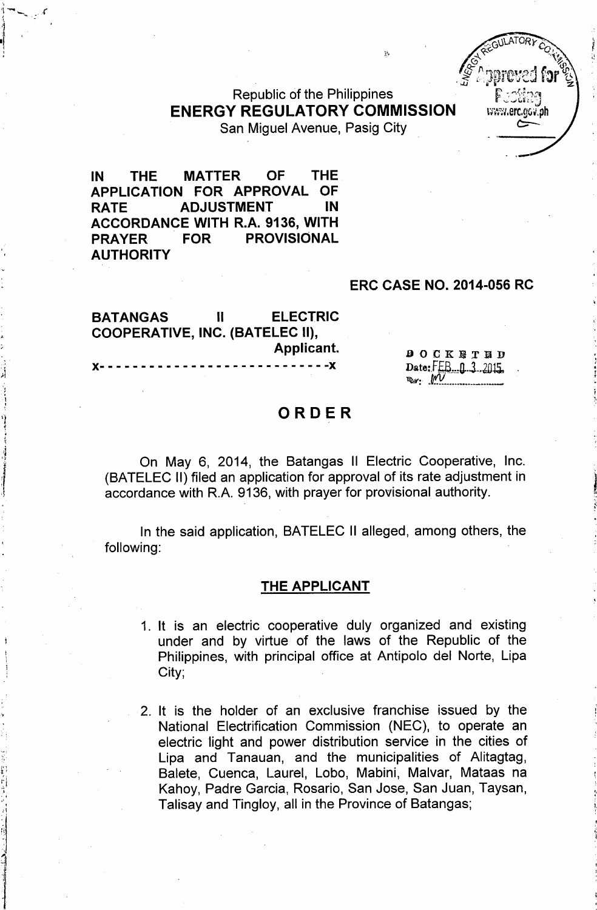Republic of the Philippines ENERGY REGULATORY COMMISSION San Miguel Avenue, Pasig City

IN THE MATTER OF THE APPLICATION FOR APPROVAL OF RATE ADJUSTMENT IN ACCORDANCE WITH R.A. 9136, WITH PRAYER FOR PROVISIONAL **AUTHORITY** 

#### ERC CASE NO. 2014-056 RC

www.erc.gov.ph

BATANGAS II ELECTRIC COOPERATIVE, INC. (BATELEC II), Applicant.

)(- - - - - - - - - - - - - - - - - - - - - - - - - - - -)(

,~ : ",

> , ,I

 $,11$ ',' 'J

1

**DOCKETED** Date:FEB-0-3-2015. *~:' .W\_ ..\_.~...\_.\_.....\_*

## ORDER

On May 6, 2014, the Batangas II Electric Cooperative, Inc. (BATELEC II) filed an application for approval of its rate adjustment in accordance with R.A. 9136, with prayer for provisional authority.

In the said application, BATELEC II alleged, among others, the following:

#### THE APPLICANT

- 1. It is an electric cooperative duly organized and existing under and by virtue of the laws of the Republic of the Philippines, with principal office at Antipolo del Norte, Lipa City;
- 2. It is the holder of an exclusive franchise issued by the National Electrification Commission (NEC), to operate an electric light and power distribution service in the cities of Lipa and Tanauan, and the municipalities of Alitagtag, Balete, Cuenca, Laurel, Lobo, Mabini, Malvar, Mataas na Kahoy, Padre Garcia, Rosario, San Jose, San Juan, Taysan, Talisay and Tingloy, all in the Province of Batangas;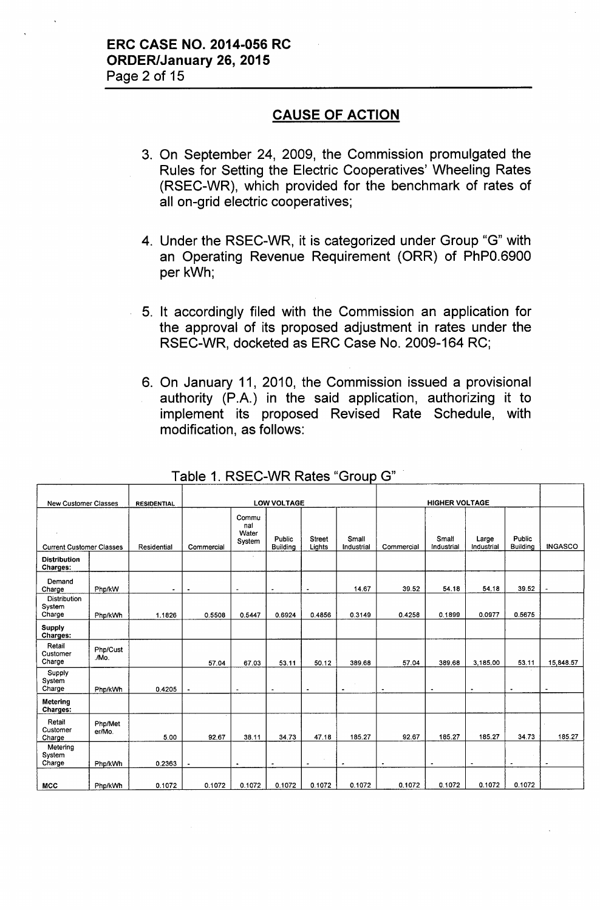### **CAUSE OF ACTION**

- 3. On September 24, 2009, the Commission promulgated the Rules for Setting the Electric Cooperatives' Wheeling Rates (RSEC-WR), which provided for the benchmark of rates of all on-grid electric cooperatives;
- 4. Under the RSEC-WR, it is categorized under Group "G" with an Operating Revenue Requirement (ORR) of PhPO.6900 per kWh;
- 5. It accordingly filed with the Commission an application for the approval of its proposed adjustment in rates under the RSEC-WR, docketed as ERC Case No. 2009-164 RC;
- 6. On January 11, 2010, the Commission issued a provisional authority (P.A.) in the said application, authorizing it to implement its proposed Revised Rate Schedule, with modification, as follows:

| <b>New Customer Classes</b>             |                   | <b>RESIDENTIAL</b> |                |                                 | <b>LOW VOLTAGE</b>        |                         |                     |                       | <b>HIGHER VOLTAGE</b> |                          |                           |                      |
|-----------------------------------------|-------------------|--------------------|----------------|---------------------------------|---------------------------|-------------------------|---------------------|-----------------------|-----------------------|--------------------------|---------------------------|----------------------|
| <b>Current Customer Classes</b>         |                   | Residential        | Commercial     | Commu<br>nal<br>Water<br>System | Public<br><b>Building</b> | <b>Street</b><br>Lights | Small<br>Industrial | Commercial            | Small<br>Industrial   | Large<br>Industrial      | Public<br><b>Building</b> | <b>INGASCO</b>       |
| <b>Distribution</b><br>Charges:         |                   |                    |                |                                 |                           |                         |                     |                       |                       |                          |                           |                      |
| Demand<br>Charge                        | Php/kW            | $\sim$             | $\bullet$      | $\blacksquare$                  | $\bullet$                 | $\tilde{\phantom{a}}$   | 14.67               | 39.52                 | 54.18                 | 54.18                    | 39.52                     |                      |
| <b>Distribution</b><br>System<br>Charge | Php/kWh           | 1.1826             | 0.5508         | 0.5447                          | 0.6924                    | 0.4856                  | 0.3149              | 0.4258                | 0.1899                | 0.0977                   | 0.5675                    |                      |
| <b>Supply</b><br>Charges:               |                   |                    |                |                                 |                           |                         |                     |                       |                       |                          |                           |                      |
| Retail<br>Customer<br>Charge            | Php/Cust<br>./Mo. |                    | 57.04          | 67.03                           | 53.11                     | 50.12                   | 389.68              | 57.04                 | 389.68                | 3.185.00                 | 53.11                     | 15,848.57            |
| Supply<br>System<br>Charge              | Php/kWh           | 0.4205             |                | $\blacksquare$                  | ٠                         |                         | $\bullet$           | $\tilde{\phantom{a}}$ | ٠                     | $\overline{\phantom{a}}$ | $\blacksquare$            | $\ddot{\phantom{0}}$ |
| <b>Metering</b><br>Charges:             |                   |                    |                |                                 |                           |                         |                     |                       |                       |                          |                           |                      |
| Retail<br>Customer<br>Charge            | Php/Met<br>er/Mo. | 5.00               | 92.67          | 38.11                           | 34.73                     | 47.18                   | 185.27              | 92.67                 | 185.27                | 185.27                   | 34.73                     | 185.27               |
| Metering<br>System<br>Charge            | Php/kWh           | 0.2363             | $\blacksquare$ | $\bullet$                       | ۰                         |                         | $\bullet$           | $\blacksquare$        |                       | $\blacksquare$           |                           |                      |
| <b>MCC</b>                              | Php/kWh           | 0.1072             | 0.1072         | 0.1072                          | 0.1072                    | 0.1072                  | 0.1072              | 0.1072                | 0.1072                | 0.1072                   | 0.1072                    |                      |

### Table 1. RSEC-WR Rates "Group G"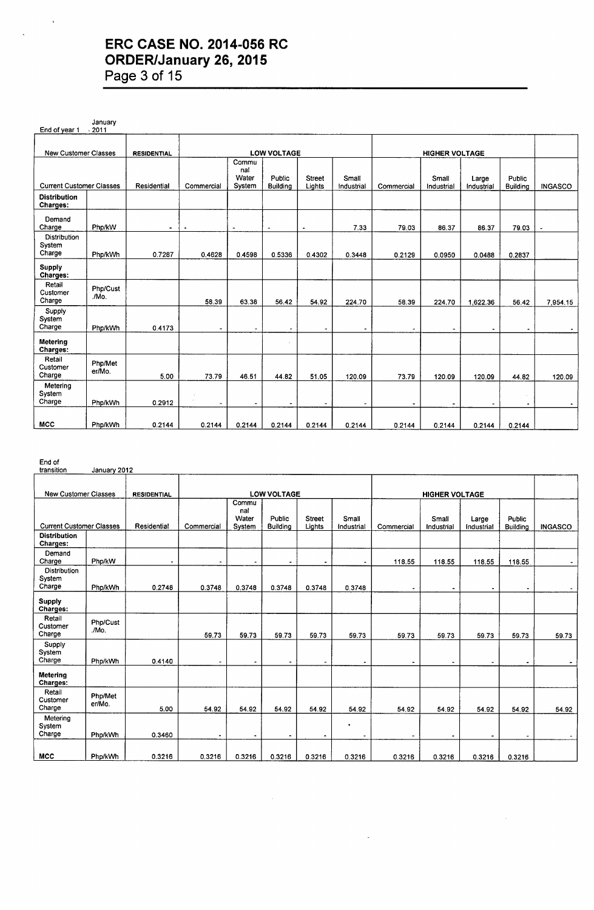### **ERC CASE NO. 2014-056 RC ORDER/January 26, 2015 Page 3 of 15**

January End of year 1 New Customer Classes RESIDENTIAL | LOW VOLTAGE | RESIDENTIAL | LOW VOLTAGE Commu oomme<br>nal<br>Water Water Public Street Small | Small Large Public<br>System Building Lights Industrial Commercial Industrial Industrial Building Current Customer Classes Residential Commercial System Buildina liahts Industrial Commercial Industrial Industrial Buildina INGASCO Distribution Charges: Demand<br>Charge Charae Pho/kW - - - - - 7.33 79.03 86.37 86.37 79.03 - **Distribution** System<br>Charge Charge Pho/kWh 0.7287 0.4628 0.4598 0.5336 0.4302 0.3448 0.2129 0.0950 0.0488 0.283 Supply Charges: Retail<br>Customer Php/Cust<br>Charge /Mo.  $Charge$ 58.39 63.38 56.42 54.92 224.70 58.39 224.70 1,622.36 56.42 7,954.15 Supply System Charge Pho/kWh 0.4173 - - - - - - - - - - Metering l, Charges: Retail<br>Customer Php/Met<br>Charge er/Mo. Charge 5.00 73.79 46.51 44.82 51.05 120.09 73.79 120.09 120.09 44.82 120.09 **Metering** System<br>Charge Charge Pho/kWh 0.2912 - - - - - - - - . - MCC | Pho/kWh | 0.2144 | 0.2144 | 0.2144 | 0.2144 | 0.2144 | 0.2144 | 0.2144 | 0.2144 | 0.2144 | 0.2144 | 0.21

End of

| transition                       | January 2012      |                    |                     |                                 |                                  |                         |                               |                          |                       |                          |                           |                |
|----------------------------------|-------------------|--------------------|---------------------|---------------------------------|----------------------------------|-------------------------|-------------------------------|--------------------------|-----------------------|--------------------------|---------------------------|----------------|
|                                  |                   |                    |                     |                                 |                                  |                         |                               |                          |                       |                          |                           |                |
| <b>New Customer Classes</b>      |                   | <b>RESIDENTIAL</b> |                     |                                 | <b>LOW VOLTAGE</b>               |                         |                               |                          | <b>HIGHER VOLTAGE</b> |                          |                           |                |
| <b>Current Customer Classes</b>  |                   | Residential        | Commercial          | Commu<br>nal<br>Water<br>System | <b>Public</b><br><b>Building</b> | <b>Street</b><br>Lights | Small<br>Industrial           | Commercial               | Small<br>Industrial   | Large<br>Industrial      | Public<br><b>Building</b> | <b>INGASCO</b> |
| <b>Distribution</b><br>Charges:  |                   |                    |                     |                                 |                                  |                         |                               |                          |                       |                          |                           |                |
| Demand<br>Charge                 | Php/kW            | ٠                  | $\blacksquare$      | ۰                               | ٠                                | $\blacksquare$          | ٠                             | 118.55                   | 118.55                | 118.55                   | 118.55                    | $\sim$         |
| Distribution<br>System<br>Charge | Php/kWh           | 0.2748             | 0.3748              | 0.3748                          | 0.3748                           | 0.3748                  | 0.3748                        |                          |                       |                          | $\blacksquare$            |                |
| <b>Supply</b><br>Charges:        |                   |                    |                     |                                 |                                  |                         |                               |                          |                       |                          |                           |                |
| Retail<br>Customer<br>Charge     | Php/Cust<br>./Mo. |                    | 59.73               | 59.73                           | 59.73                            | 59.73                   | 59.73                         | 59.73                    | 59.73                 | 59.73                    | 59.73                     | 59.73          |
| Supply<br>System<br>Charge       | Php/kWh           | 0.4140             |                     | $\blacksquare$                  | $\blacksquare$                   |                         | $\blacksquare$                | $\blacksquare$           |                       | $\overline{\phantom{a}}$ |                           |                |
| Metering<br>Charges:             |                   |                    |                     |                                 |                                  |                         |                               |                          |                       |                          |                           |                |
| Retail<br>Customer<br>Charge     | Php/Met<br>er/Mo. | 5.00               | 54.92               | 54.92                           | 54.92                            | 54.92                   | 54.92                         | 54.92                    | 54.92                 | 54.92                    | 54.92                     | 54.92          |
| Metering<br>System<br>Charge     | Php/kWh           | 0.3460             | $\hat{\phantom{a}}$ |                                 |                                  | $\blacksquare$          | ٠<br>$\overline{\phantom{a}}$ | $\overline{\phantom{a}}$ | ٠                     | ٠                        | $\tilde{\phantom{a}}$     |                |
| <b>MCC</b>                       | Php/kWh           | 0.3216             | 0.3216              | 0.3216                          | 0.3216                           | 0.3216                  | 0.3216                        | 0.3216                   | 0.3216                | 0.3216                   | 0.3216                    |                |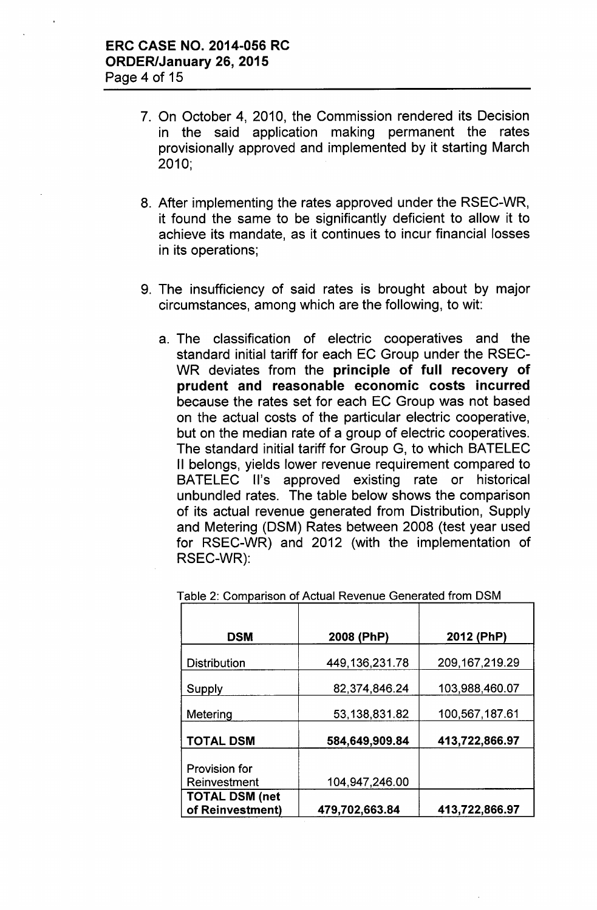- 7. On October 4, 2010, the Commission rendered its Decision in the said application making permanent the rates provisionally approved and implemented by it starting March 2010;
- 8. After implementing the rates approved under the RSEC-WR, it found the same to be significantly deficient to allow it to achieve its mandate, as it continues to incur financial losses in its operations;
- 9. The insufficiency of said rates is brought about by major circumstances, among which are the following, to wit:
	- a. The classification of electric cooperatives and the standard initial tariff for each EC Group under the RSEC-WR deviates from the principle of full recovery of prudent and reasonable economic costs incurred because the rates set for each EC Group was not based on the actual costs of the particular electric cooperative, but on the median rate of a group of electric cooperatives. The standard initial tariff for Group G, to which BATELEC II belongs, yields lower revenue requirement compared to BATELEC II's approved existing rate or historical unbundled rates. The table below shows the comparison of its actual revenue generated from Distribution, Supply and Metering (DSM) Rates between 2008 (test year used for RSEC-WR) and 2012 (with the implementation of RSEC-WR):

| <b>DSM</b>                                | 2008 (PhP)        | 2012 (PhP)        |
|-------------------------------------------|-------------------|-------------------|
| <b>Distribution</b>                       | 449, 136, 231. 78 | 209, 167, 219. 29 |
| Supply                                    | 82,374,846.24     | 103,988,460.07    |
| Metering                                  | 53,138,831.82     | 100,567,187.61    |
| <b>TOTAL DSM</b>                          | 584,649,909.84    | 413,722,866.97    |
| <b>Provision for</b><br>Reinvestment      | 104,947,246.00    |                   |
| <b>TOTAL DSM (net</b><br>of Reinvestment) | 479,702,663.84    | 413,722,866.97    |

Table 2: Comparison of Actual Revenue Generated from DSM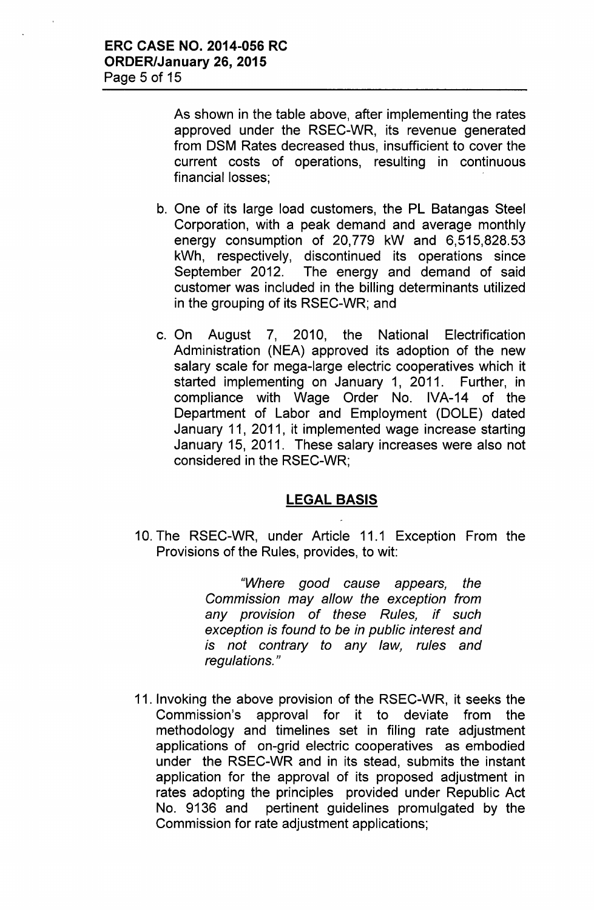As shown in the table above, after implementing the rates approved under the RSEC-WR, its revenue generated from DSM Rates decreased thus, insufficient to cover the current costs of operations, resulting in continuous financial losses;

- b. One of its large load customers, the PL Batangas Steel Corporation, with a peak demand and average monthly energy consumption of 20,779 kW and 6,515,828.53 kWh, respectively, discontinued its operations since September 2012. The energy and demand of said customer was included in the billing determinants utilized in the grouping of its RSEC-WR; and
- c. On August 7, 2010, the National Electrification Administration (NEA) approved its adoption of the new salary scale for mega-large electric cooperatives which it started implementing on January 1, 2011. Further, in compliance with Wage Order No. IVA-14 of the Department of Labor and Employment (DOLE) dated January 11, 2011, it implemented wage increase starting January 15, 2011. These salary increases were also not considered in the RSEC-WR;

### **LEGAL BASIS**

10. The RSEC-WR, under Article 11.1 Exception From the Provisions of the Rules, provides, to wit:

> *"Where good cause appears, the Commission may allow the exception from any provision* of *these Rules, if such exception is found to be in public interest and is not contrary to any law, rules and regulations. "*

11. Invoking the above provision of the RSEC-WR, it seeks the Commission's approval for it to deviate from the methodology and timelines set in filing rate adjustment applications of on-grid electric cooperatives as embodied under the RSEC-WR and in its stead, submits the instant application for the approval of its proposed adjustment in rates adopting the principles provided under Republic Act No. 9136 and pertinent guidelines promulgated by the Commission for rate adjustment applications;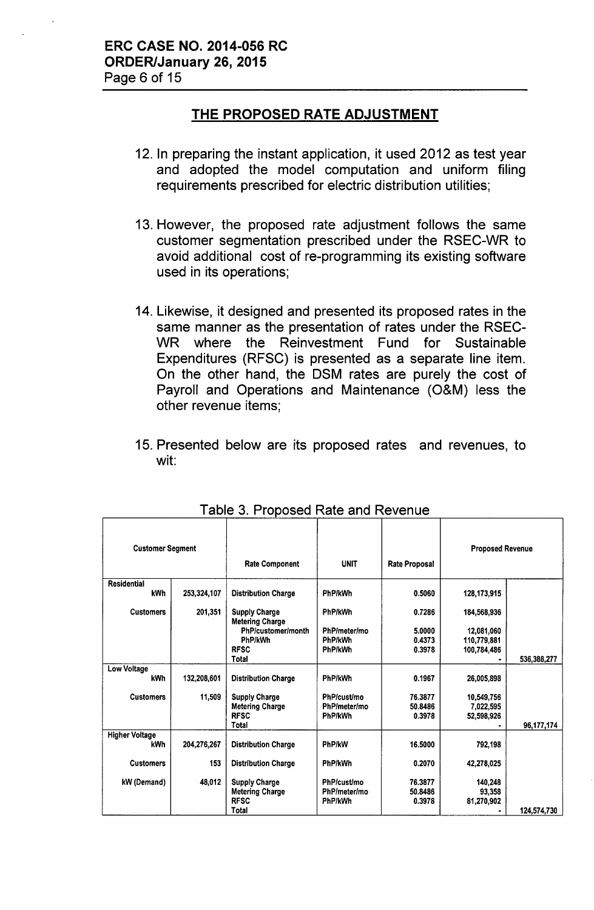### **THE PROPOSED RATE ADJUSTMENT**

- 12. In preparing the instant application, it used 2012 as test year and adopted the model computation and uniform filing requirements prescribed for electric distribution utilities;
- 13. However, the proposed rate adjustment follows the same customer segmentation prescribed under the RSEC-WR to avoid additional cost of re-programming its existing software used in its operations;
- 14. Likewise, it designed and presented its proposed rates in the same manner as the presentation of rates under the RSEC-WR where the Reinvestment Fund for Sustainable Expenditures (RFSC) is presented as a separate line item. On the other hand, the DSM rates are purely the cost of Payroll and Operations and Maintenance (O&M) less the other revenue items;
- 15. Presented below are its proposed rates and revenues, to wit:

| <b>Customer Segment</b> |             | <b>Rate Component</b>                          | <b>UNIT</b>        | <b>Rate Proposal</b> | <b>Proposed Revenue</b> |             |
|-------------------------|-------------|------------------------------------------------|--------------------|----------------------|-------------------------|-------------|
| <b>Residential</b>      |             |                                                |                    |                      |                         |             |
| <b>kWh</b>              | 253,324,107 | <b>Distribution Charge</b>                     | <b>PhP/kWh</b>     | 0.5060               | 128, 173, 915           |             |
| <b>Customers</b>        | 201,351     | <b>Supply Charge</b><br><b>Metering Charge</b> | PhP/kWh            | 0.7286               | 184,568,936             |             |
|                         |             | PhP/customer/month                             | PhP/meter/mo       | 5.0000               | 12,081,060              |             |
|                         |             | PhP/kWh                                        | PhP/kWh            | 0.4373               | 110,779,881             |             |
|                         |             | <b>RFSC</b>                                    | PhP/kWh            | 0.3978               | 100,784,486             |             |
|                         |             | <b>Total</b>                                   |                    |                      |                         | 536,388,277 |
| <b>Low Voltage</b>      |             |                                                |                    |                      |                         |             |
| <b>kWh</b>              | 132,208,601 | <b>Distribution Charge</b>                     | PhP/kWh            | 0.1967               | 26,005,898              |             |
| <b>Customers</b>        | 11,509      | <b>Supply Charge</b>                           | PhP/cust/mo        | 76.3877              | 10,549,756              |             |
|                         |             | <b>Metering Charge</b>                         | PhP/meter/mo       | 50.8486              | 7,022,595               |             |
|                         |             | <b>RFSC</b>                                    | PhP/kWh            | 0.3978               | 52,598,926              |             |
|                         |             | Total                                          |                    |                      |                         | 96,177,174  |
| <b>Higher Voltage</b>   |             |                                                |                    |                      |                         |             |
| <b>kWh</b>              | 204,276,267 | <b>Distribution Charge</b>                     | PhP/kW             | 16.5000              | 792,198                 |             |
| <b>Customers</b>        | 153         | <b>Distribution Charge</b>                     | PhP/kWh            | 0.2070               | 42,278,025              |             |
|                         |             |                                                |                    |                      |                         |             |
| kW (Demand)             | 48,012      | <b>Supply Charge</b>                           | <b>PhP/cust/mo</b> | 76.3877              | 140,248                 |             |
|                         |             | <b>Metering Charge</b>                         | PhP/meter/mo       | 50.8486              | 93,358                  |             |
|                         |             | <b>RFSC</b>                                    | PhP/kWh            | 0.3978               | 81,270,902              |             |
|                         |             | Total                                          |                    |                      |                         | 124,574,730 |

Table 3. Proposed Rate and Revenue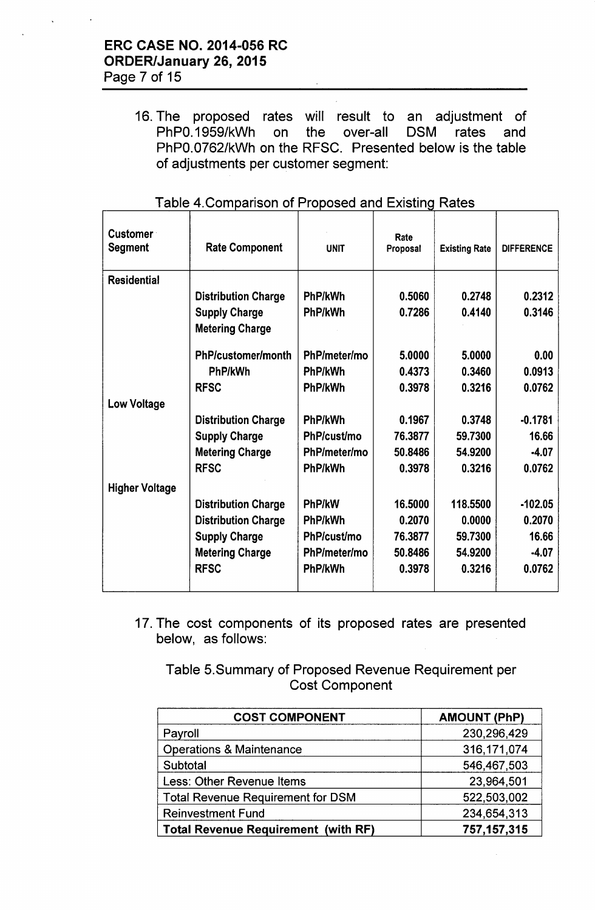16. The proposed rates will result to an adjustment of PhPO.1959/kWh on the over-all DSM rates and PhPO.0762/kWh on the RFSC. Presented below is the table of adjustments per customer segment:

| <b>Customer</b><br><b>Segment</b> | <b>Rate Component</b>                          | <b>UNIT</b>  | Rate<br>Proposal | <b>Existing Rate</b> | <b>DIFFERENCE</b> |
|-----------------------------------|------------------------------------------------|--------------|------------------|----------------------|-------------------|
| <b>Residential</b>                |                                                |              |                  |                      |                   |
|                                   | <b>Distribution Charge</b>                     | PhP/kWh      | 0.5060           | 0.2748               | 0.2312            |
|                                   | <b>Supply Charge</b><br><b>Metering Charge</b> | PhP/kWh      | 0.7286           | 0.4140               | 0.3146            |
|                                   |                                                |              |                  |                      |                   |
|                                   | PhP/customer/month                             | PhP/meter/mo | 5.0000           | 5.0000               | 0.00              |
|                                   | PhP/kWh                                        | PhP/kWh      | 0.4373           | 0.3460               | 0.0913            |
|                                   | <b>RFSC</b>                                    | PhP/kWh      | 0.3978           | 0.3216               | 0.0762            |
| <b>Low Voltage</b>                |                                                |              |                  |                      |                   |
|                                   | <b>Distribution Charge</b>                     | PhP/kWh      | 0.1967           | 0.3748               | $-0.1781$         |
|                                   | <b>Supply Charge</b>                           | PhP/cust/mo  | 76.3877          | 59.7300              | 16.66             |
|                                   | <b>Metering Charge</b>                         | PhP/meter/mo | 50,8486          | 54.9200              | $-4.07$           |
|                                   | <b>RFSC</b>                                    | PhP/kWh      | 0.3978           | 0.3216               | 0.0762            |
| <b>Higher Voltage</b>             |                                                |              |                  |                      |                   |
|                                   | <b>Distribution Charge</b>                     | PhP/kW       | 16.5000          | 118.5500             | $-102.05$         |
|                                   | <b>Distribution Charge</b>                     | PhP/kWh      | 0.2070           | 0.0000               | 0.2070            |
|                                   | <b>Supply Charge</b>                           | PhP/cust/mo  | 76.3877          | 59.7300              | 16.66             |
|                                   | <b>Metering Charge</b>                         | PhP/meter/mo | 50.8486          | 54.9200              | $-4.07$           |
|                                   | <b>RFSC</b>                                    | PhP/kWh      | 0.3978           | 0.3216               | 0.0762            |
|                                   |                                                |              |                  |                      |                   |

#### Table 4. Comparison of Proposed and Existing Rates

17. The cost components of its proposed rates are presented below, as follows:

Table 5.Summary of Proposed Revenue Requirement per Cost Component

| <b>COST COMPONENT</b>                      | <b>AMOUNT (PhP)</b> |
|--------------------------------------------|---------------------|
| Payroll                                    | 230,296,429         |
| <b>Operations &amp; Maintenance</b>        | 316, 171, 074       |
| Subtotal                                   | 546,467,503         |
| Less: Other Revenue Items                  | 23,964,501          |
| <b>Total Revenue Requirement for DSM</b>   | 522,503,002         |
| <b>Reinvestment Fund</b>                   | 234,654,313         |
| <b>Total Revenue Requirement (with RF)</b> | 757, 157, 315       |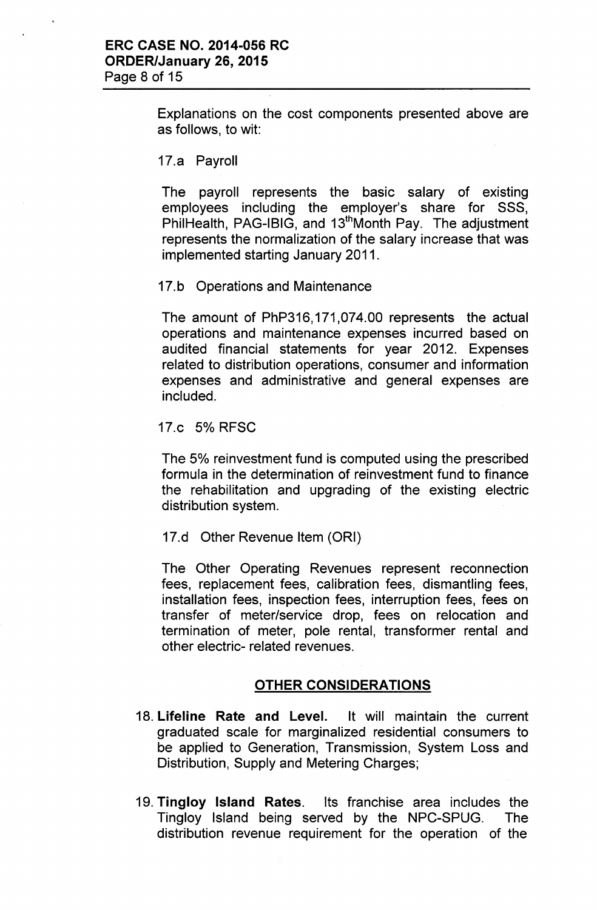Explanations on the cost components presented above are as follows, to wit:

17.a Payroll

The payroll represents the basic salary of existing employees including the employer's share for SSS, PhilHealth, PAG-IBIG, and 13<sup>th</sup>Month Pay. The adjustment represents the normalization of the salary increase that was implemented starting January 2011.

17.b Operations and Maintenance

The amount of PhP316,171,074.00 represents the actual operations and maintenance expenses incurred based on audited financial statements for year 2012. Expenses related to distribution operations, consumer and information expenses and administrative and general expenses are included.

17.c 5% RFSC

The 5% reinvestment fund is computed using the prescribed formula in the determination of reinvestment fund to finance the rehabilitation and upgrading of the existing electric distribution system.

17.d Other Revenue Item (ORI)

The Other Operating Revenues represent reconnection fees, replacement fees, calibration fees, dismantling fees, installation fees, inspection fees, interruption fees, fees on transfer of meter/service drop, fees on relocation and termination of meter, pole rental, transformer rental and other electric- related revenues.

#### OTHER CONSIDERATIONS

- 18. Lifeline Rate and Level. It will maintain the current graduated scale for marginalized residential consumers to be applied to Generation, Transmission, System Loss and Distribution, Supply and Metering Charges;
- 19. Tingloy Island Rates. Its franchise area includes the Tingloy Island being served by the NPC-SPUG. The distribution revenue requirement for the operation of the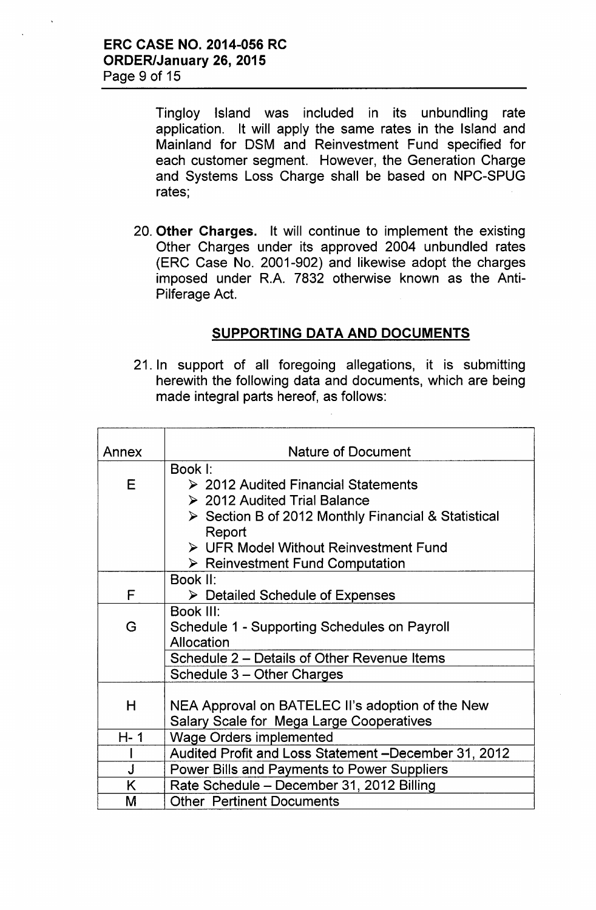Tingloy Island was included in its unbundling rate application. It will apply the same rates in the Island and Mainland for DSM and Reinvestment Fund specified for each customer segment. However, the Generation Charge and Systems Loss Charge shall be based on NPC-SPUG rates;

20. Other Charges. It will continue to implement the existing Other Charges under its approved 2004 unbundled rates (ERC Case No. 2001-902) and likewise adopt the charges imposed under R.A. 7832 otherwise known as the Anti-Pilferage Act.

### SUPPORTING DATA AND DOCUMENTS

21. In support of all foregoing allegations, it is submitting herewith the following data and documents, which are being made integral parts hereof, as follows:

| Annex   | <b>Nature of Document</b>                                                                                                                      |
|---------|------------------------------------------------------------------------------------------------------------------------------------------------|
|         | Book I:                                                                                                                                        |
| E       | $\geq$ 2012 Audited Financial Statements<br>▶ 2012 Audited Trial Balance<br>$\triangleright$ Section B of 2012 Monthly Financial & Statistical |
|         | Report<br>$\triangleright$ UFR Model Without Reinvestment Fund<br>$\triangleright$ Reinvestment Fund Computation                               |
|         | Book II:                                                                                                                                       |
| F       | $\triangleright$ Detailed Schedule of Expenses                                                                                                 |
|         | Book III:                                                                                                                                      |
| G       | Schedule 1 - Supporting Schedules on Payroll<br>Allocation                                                                                     |
|         | Schedule 2 – Details of Other Revenue Items                                                                                                    |
|         | Schedule 3 - Other Charges                                                                                                                     |
|         |                                                                                                                                                |
| H       | NEA Approval on BATELEC II's adoption of the New                                                                                               |
|         | Salary Scale for Mega Large Cooperatives                                                                                                       |
| $H - 1$ | <b>Wage Orders implemented</b>                                                                                                                 |
|         | Audited Profit and Loss Statement -December 31, 2012                                                                                           |
| J       | <b>Power Bills and Payments to Power Suppliers</b>                                                                                             |
| K       | Rate Schedule - December 31, 2012 Billing                                                                                                      |
| M       | <b>Other Pertinent Documents</b>                                                                                                               |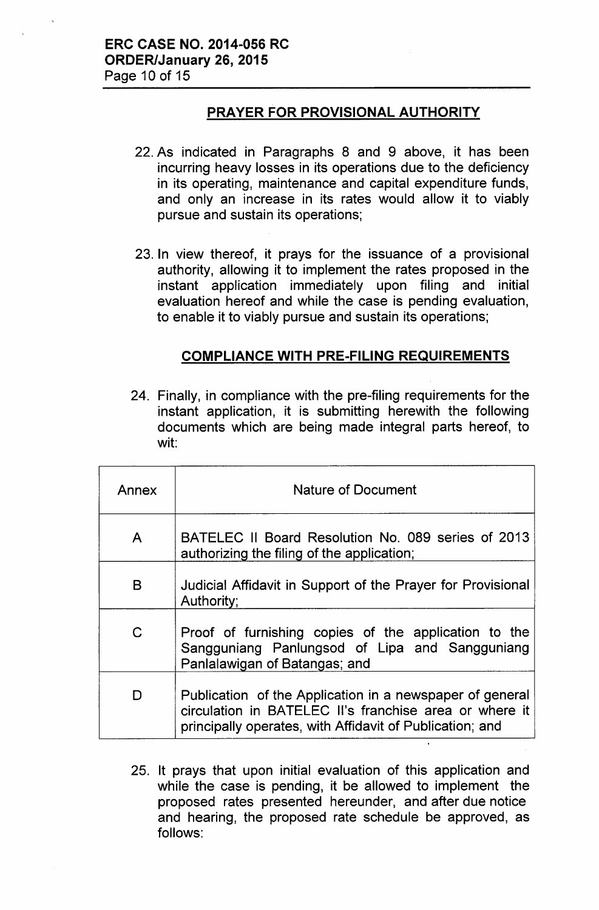### **PRAYER FOR PROVISIONAL AUTHORITY**

- 22. As indicated in Paragraphs 8 and 9 above, it has been incurring heavy losses in its operations due to the deficiency in its operating, maintenance and capital expenditure funds, and only an increase in its rates would allow it to viably pursue and sustain its operations;
- 23. In view thereof, it prays for the issuance of a provisional authority, allowing it to implement the rates proposed in the instant application immediately upon filing and initial evaluation hereof and while the case is pending evaluation, to enable it to viably pursue and sustain its operations;

### **COMPLIANCE WITH PRE-FILING REQUIREMENTS**

24. Finally, in compliance with the pre-filing requirements for the instant application, it is submitting herewith the following documents which are being made integral parts hereof, to wit:

| Annex        | <b>Nature of Document</b>                                                                                                                                                      |  |  |  |  |  |  |
|--------------|--------------------------------------------------------------------------------------------------------------------------------------------------------------------------------|--|--|--|--|--|--|
| A            | BATELEC II Board Resolution No. 089 series of 2013<br>authorizing the filing of the application;                                                                               |  |  |  |  |  |  |
| B            | Judicial Affidavit in Support of the Prayer for Provisional<br>Authority;                                                                                                      |  |  |  |  |  |  |
| $\mathsf{C}$ | Proof of furnishing copies of the application to the<br>Sangguniang Panlungsod of Lipa and Sangguniang<br>Panlalawigan of Batangas; and                                        |  |  |  |  |  |  |
| D            | Publication of the Application in a newspaper of general<br>circulation in BATELEC II's franchise area or where it<br>principally operates, with Affidavit of Publication; and |  |  |  |  |  |  |

25. It prays that upon initial evaluation of this application and while the case is pending, it be allowed to implement the proposed rates presented hereunder, and after due notice and hearing, the proposed rate schedule be approved, as follows: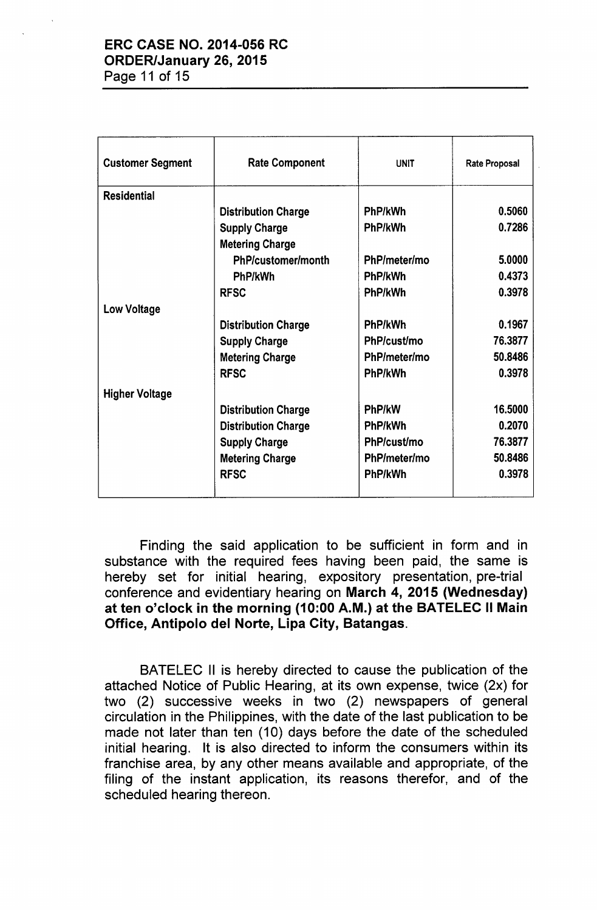# ERC CASE NO. 2014-056 RC ORDER/January 26, 2015

Page 11 of 15

| <b>Customer Segment</b> | <b>Rate Component</b>      | <b>UNIT</b>  | <b>Rate Proposal</b> |
|-------------------------|----------------------------|--------------|----------------------|
| <b>Residential</b>      |                            |              |                      |
|                         | <b>Distribution Charge</b> | PhP/kWh      | 0.5060               |
|                         | <b>Supply Charge</b>       | PhP/kWh      | 0.7286               |
|                         | <b>Metering Charge</b>     |              |                      |
|                         | PhP/customer/month         | PhP/meter/mo | 5.0000               |
|                         | PhP/kWh                    | PhP/kWh      | 0.4373               |
|                         | <b>RFSC</b>                | PhP/kWh      | 0.3978               |
| <b>Low Voltage</b>      |                            |              |                      |
|                         | <b>Distribution Charge</b> | PhP/kWh      | 0.1967               |
|                         | <b>Supply Charge</b>       | PhP/cust/mo  | 76.3877              |
|                         | <b>Metering Charge</b>     | PhP/meter/mo | 50.8486              |
|                         | <b>RFSC</b>                | PhP/kWh      | 0.3978               |
| <b>Higher Voltage</b>   |                            |              |                      |
|                         | <b>Distribution Charge</b> | PhP/kW       | 16.5000              |
|                         | <b>Distribution Charge</b> | PhP/kWh      | 0.2070               |
|                         | <b>Supply Charge</b>       | PhP/cust/mo  | 76.3877              |
|                         | <b>Metering Charge</b>     | PhP/meter/mo | 50.8486              |
|                         | <b>RFSC</b>                | PhP/kWh      | 0.3978               |
|                         |                            |              |                      |

Finding the said application to be sufficient in form and in substance with the required fees having been paid, the same is hereby set for initial hearing, expository presentation, pre-trial conference and evidentiary hearing on March 4, 2015 (Wednesday) at ten o'clock in the morning (10:00 A.M.) at the BATELEC II Main Office, Antipolo del Norte, Lipa City, Batangas.

BATELEC II is hereby directed to cause the publication of the attached Notice of Public Hearing, at its own expense, twice (2x) for two (2) successive weeks in two (2) newspapers of general circulation in the Philippines, with the date of the last publication to be made not later than ten (10) days before the date of the scheduled initial hearing. It is also directed to inform the consumers within its franchise area, by any other means available and appropriate, of the filing of the instant application, its reasons therefor, and of the scheduled hearing thereon.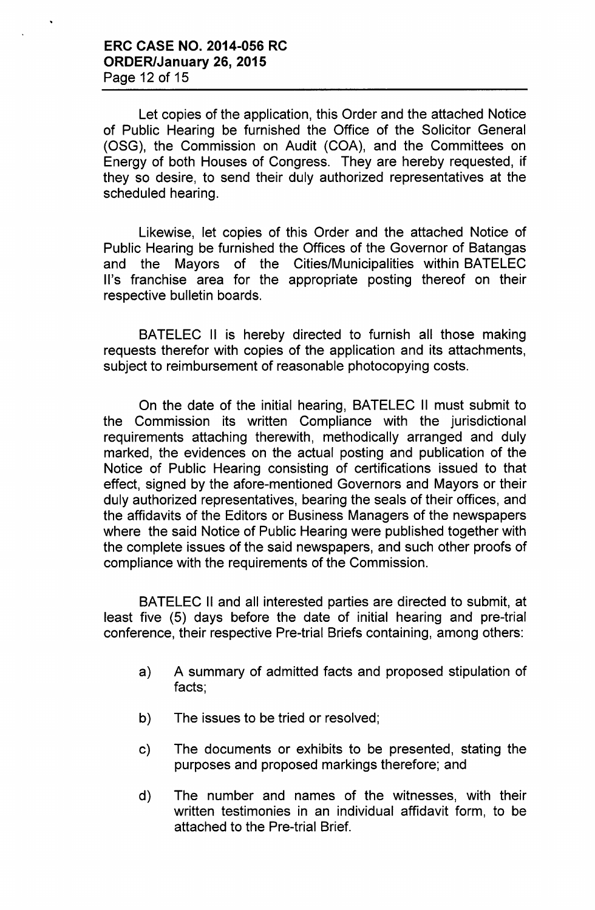Let copies of the application, this Order and the attached Notice of Public Hearing be furnished the Office of the Solicitor General (OSG), the Commission on Audit (COA), and the Committees on Energy of both Houses of Congress. They are hereby requested, if they so desire, to send their duly authorized representatives at the scheduled hearing.

Likewise, let copies of this Order and the attached Notice of Public Hearing be furnished the Offices of the Governor of Batangas and the Mayors of the Cities/Municipalities within BATELEC II's franchise area for the appropriate posting thereof on their respective bulletin boards.

BATELEC II is hereby directed to furnish all those making requests therefor with copies of the application and its attachments, subject to reimbursement of reasonable photocopying costs.

On the date of the initial hearing, BATELEC II must submit to the Commission its written Compliance with the jurisdictional requirements attaching therewith, methodically arranged and duly marked, the evidences on the actual posting and publication of the Notice of Public Hearing consisting of certifications issued to that effect, signed by the afore-mentioned Governors and Mayors or their duly authorized representatives, bearing the seals of their offices, and the affidavits of the Editors or Business Managers of the newspapers where the said Notice of Public Hearing were published together with the complete issues of the said newspapers, and such other proofs of compliance with the requirements of the Commission.

BATELEC II and all interested parties are directed to submit, at least five (5) days before the date of initial hearing and pre-trial conference, their respective Pre-trial Briefs containing, among others:

- a) A summary of admitted facts and proposed stipulation of facts;
- b) The issues to be tried or resolved;
- c) The documents or exhibits to be presented, stating the purposes and proposed markings therefore; and
- d) The number and names of the witnesses, with their written testimonies in an individual affidavit form, to be attached to the Pre-trial Brief.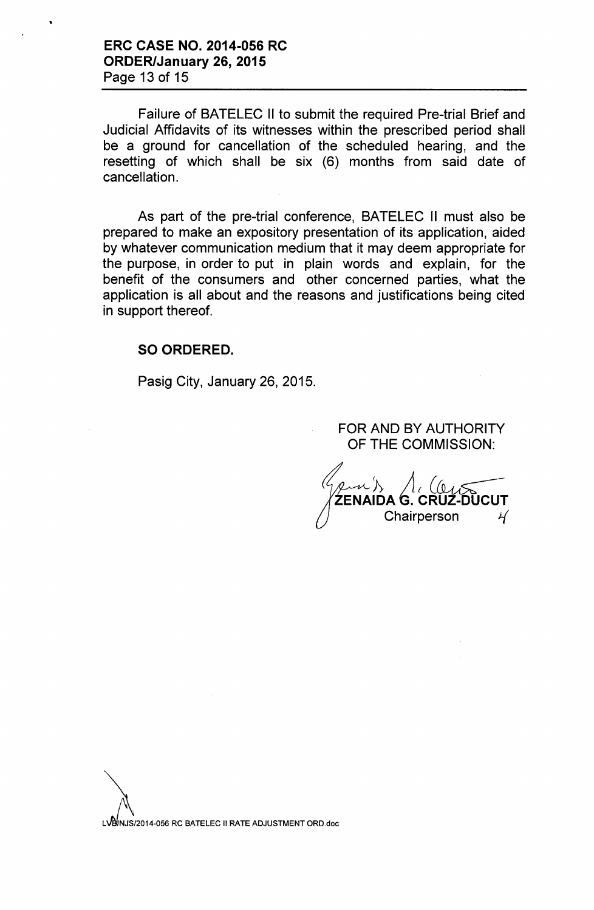Failure of BATELEC II to submit the required Pre-trial Brief and Judicial Affidavits of its witnesses within the prescribed period shall be a ground for cancellation of the scheduled hearing, and the resetting of which shall be six (6) months from said date of cancellation.

As part of the pre-trial conference, BATELEC II must also be prepared to make an expository presentation of its application, aided by whatever communication medium that it may deem appropriate for the purpose, in order to put in plain words and explain, for the benefit of the consumers and other concerned parties, what the application is all about and the reasons and justifications being cited in support thereof.

#### SO ORDERED.

Pasig City, January 26, 2015.

FOR AND BY AUTHORITY OF THE COMMISSION:

*1> lit C~* ENAIDA G. CRUZ-DUCUT Chairperson *t{*

LVB/NJS/2014-056 RC BATELEC II RATE ADJUSTMENT ORD.doc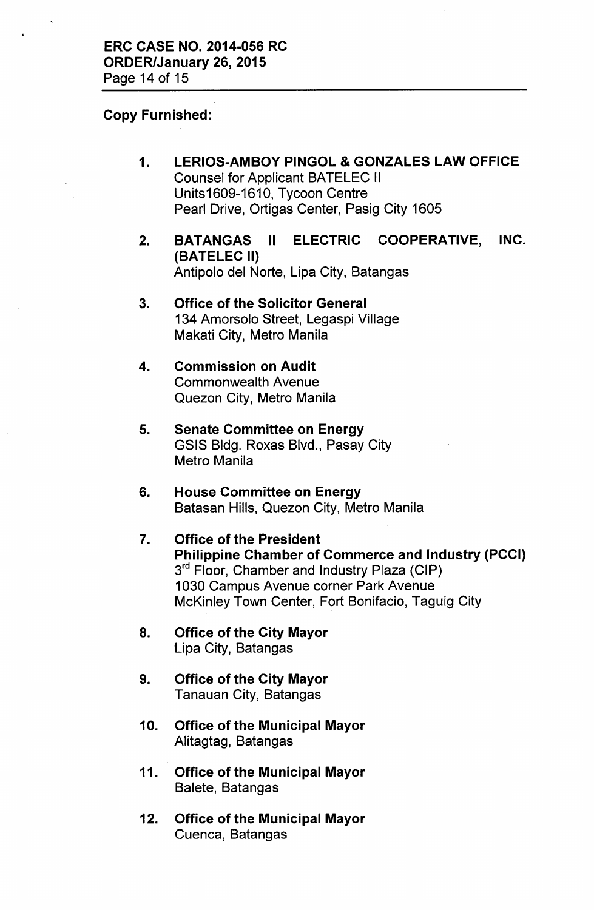#### Copy Furnished:

- 1. LERIOS-AMBOY PINGOL & GONZALES LAW OFFICE Counsel for Applicant BATELEC II Units1609-1610, Tycoon Centre Pearl Drive, Ortigas Center, Pasig City 1605
- 2. BATANGAS II ELECTRIC COOPERATIVE, INC. (BATELEC II) Antipolo del Norte, Lipa City, Batangas
- 3. Office of the Solicitor General 134 Amorsolo Street, Legaspi Village Makati City, Metro Manila
- 4. Commission on Audit Commonwealth Avenue Quezon City, Metro Manila
- 5. Senate Committee on Energy GSIS Bldg. Roxas Blvd., Pasay City Metro Manila
- 6. House Committee on Energy Batasan Hills, Quezon City, Metro Manila
- 7. Office of the President Philippine Chamber of Commerce and Industry (PCCI)  $3^{\mathsf{rd}}$  Floor, Chamber and Industry Plaza (CIP) 1030 Campus Avenue corner Park Avenue McKinley Town Center, Fort Bonifacio, Taguig City
- 8. Office of the City Mayor Lipa City, Batangas
- 9. Office of the City Mayor Tanauan City, Batangas
- 10. Office of the Municipal Mayor Alitagtag, Batangas
- 11. Office of the Municipal Mayor Balete, Batangas
- 12. Office of the Municipal Mayor Cuenca, Batangas